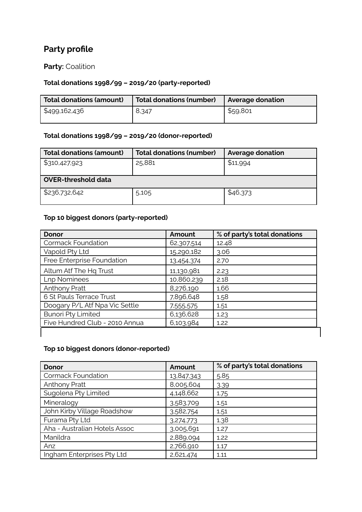# **Party profile**

# **Party:** Coalition

### **Total donations 1998/99 – 2019/20 (party-reported)**

| <b>Total donations (amount)</b> | Total donations (number) | <b>Average donation</b> |
|---------------------------------|--------------------------|-------------------------|
| \$499,162,436                   | 8,347                    | \$59,801                |

#### **Total donations 1998/99 – 2019/20 (donor-reported)**

| Total donations (amount)   | <b>Total donations (number)</b> | <b>Average donation</b> |  |  |
|----------------------------|---------------------------------|-------------------------|--|--|
| \$310,427,923              | 25,881                          | \$11,994                |  |  |
| <b>OVER-threshold data</b> |                                 |                         |  |  |
| \$236,732,642              | 5,105                           | \$46,373                |  |  |

### **Top 10 biggest donors (party-reported)**

| <b>Donor</b>                   | Amount     | % of party's total donations |
|--------------------------------|------------|------------------------------|
| <b>Cormack Foundation</b>      | 62,307,514 | 12.48                        |
| Vapold Pty Ltd                 | 15,290,182 | 3.06                         |
| Free Enterprise Foundation     | 13,454,374 | 2.70                         |
| Altum Atf The Hq Trust         | 11,130,981 | 2.23                         |
| <b>Lnp Nominees</b>            | 10,860,239 | 2.18                         |
| <b>Anthony Pratt</b>           | 8,276,190  | 1.66                         |
| 6 St Pauls Terrace Trust       | 7,896,648  | 1.58                         |
| Doogary P/L Atf Npa Vic Settle | 7,555,575  | 1.51                         |
| <b>Bunori Pty Limited</b>      | 6,136,628  | 1.23                         |
| Five Hundred Club - 2010 Annua | 6,103,984  | 1.22                         |
|                                |            |                              |

#### **Top 10 biggest donors (donor-reported)**

| <b>Donor</b>                  | Amount     | % of party's total donations |
|-------------------------------|------------|------------------------------|
| <b>Cormack Foundation</b>     | 13,847,343 | 5.85                         |
| <b>Anthony Pratt</b>          | 8,005,604  | 3.39                         |
| Sugolena Pty Limited          | 4,148,662  | 1.75                         |
| Mineralogy                    | 3,583,709  | 1.51                         |
| John Kirby Village Roadshow   | 3,582,754  | 1.51                         |
| Furama Pty Ltd                | 3,274,773  | 1.38                         |
| Aha - Australian Hotels Assoc | 3,005,691  | 1.27                         |
| Manildra                      | 2,889,094  | 1.22                         |
| Anz                           | 2,766,910  | 1.17                         |
| Ingham Enterprises Pty Ltd    | 2,621,474  | 1.11                         |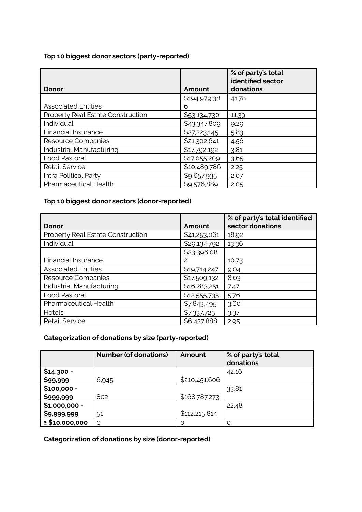#### **Top 10 biggest donor sectors (party-reported)**

|                                   |              | % of party's total<br>identified sector |
|-----------------------------------|--------------|-----------------------------------------|
| Donor                             | Amount       | donations                               |
|                                   | \$194,979,38 | 41.78                                   |
| <b>Associated Entities</b>        | 6            |                                         |
| Property Real Estate Construction | \$53,134,730 | 11.39                                   |
| Individual                        | \$43,347,809 | 9.29                                    |
| <b>Financial Insurance</b>        | \$27,223,145 | 5.83                                    |
| Resource Companies                | \$21,302,641 | 4.56                                    |
| Industrial Manufacturing          | \$17,792,192 | 3.81                                    |
| Food Pastoral                     | \$17,055,209 | 3.65                                    |
| <b>Retail Service</b>             | \$10,489,786 | 2.25                                    |
| Intra Political Party             | \$9,657,935  | 2.07                                    |
| Pharmaceutical Health             | \$9,576,889  | 2.05                                    |

### **Top 10 biggest donor sectors (donor-reported)**

|                                   |              | % of party's total identified |
|-----------------------------------|--------------|-------------------------------|
| Donor                             | Amount       | sector donations              |
| Property Real Estate Construction | \$41,253,061 | 18.92                         |
| Individual                        | \$29,134,792 | 13.36                         |
|                                   | \$23,396,08  |                               |
| Financial Insurance               | 2            | 10.73                         |
| <b>Associated Entities</b>        | \$19,714,247 | 9.04                          |
| Resource Companies                | \$17,509,132 | 8.03                          |
| Industrial Manufacturing          | \$16,283,251 | 7.47                          |
| Food Pastoral                     | \$12,555,735 | 5.76                          |
| Pharmaceutical Health             | \$7,843,495  | 3.60                          |
| Hotels                            | \$7,337,725  | 3.37                          |
| <b>Retail Service</b>             | \$6,437,888  | 2.95                          |

# **Categorization of donations by size (party-reported)**

|                     | <b>Number (of donations)</b> | Amount        | % of party's total<br>donations |
|---------------------|------------------------------|---------------|---------------------------------|
| $$14,300 -$         |                              |               | 42.16                           |
| \$99,999            | 6,945                        | \$210,451,606 |                                 |
| $$100,000 -$        |                              |               | 33.81                           |
| \$999,999           | 802                          | \$168,787,273 |                                 |
| $$1,000,000 -$      |                              |               | 22.48                           |
| \$9,999,999         | 51                           | \$112,215,814 |                                 |
| $\geq$ \$10,000,000 | $\Omega$                     | $\Omega$      | റ                               |

**Categorization of donations by size (donor-reported)**